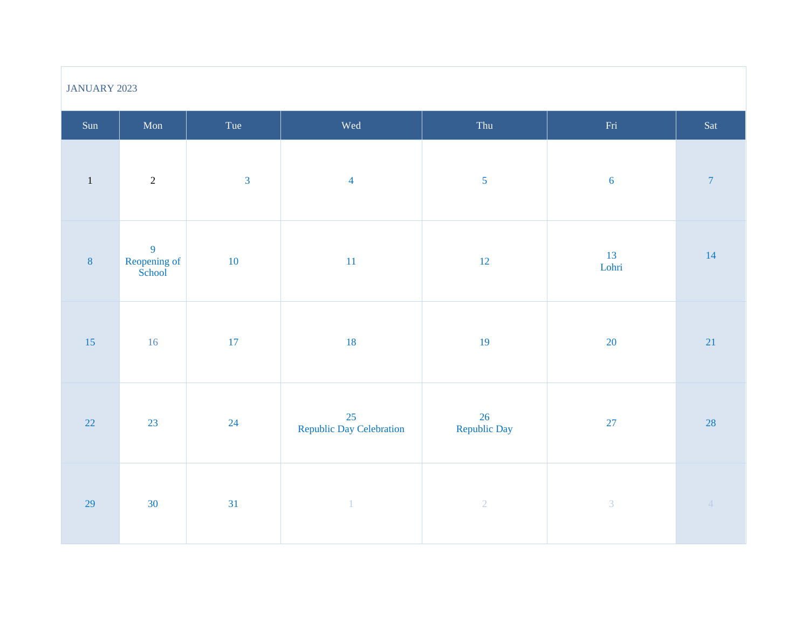| <b>JANUARY 2023</b> |                             |                |                                |                           |                  |                  |
|---------------------|-----------------------------|----------------|--------------------------------|---------------------------|------------------|------------------|
| Sun                 | Mon                         | Tue            | Wed                            | Thu                       | Fri              | Sat              |
| $\,1\,$             | $\sqrt{2}$                  | $\overline{3}$ | $\overline{4}$                 | $\overline{5}$            | $\boldsymbol{6}$ | $\boldsymbol{7}$ |
| $\overline{8}$      | 9<br>Reopening of<br>School | $10\,$         | $11\,$                         | 12                        | 13<br>Lohri      | $14\,$           |
| 15                  | 16                          | 17             | 18                             | 19                        | 20               | 21               |
| 22                  | 23                          | 24             | 25<br>Republic Day Celebration | 26<br><b>Republic Day</b> | $27\,$           | 28               |
| 29                  | 30                          | 31             | $\mathbf{1}$                   | $\sqrt{2}$                | $\overline{3}$   | $\overline{4}$   |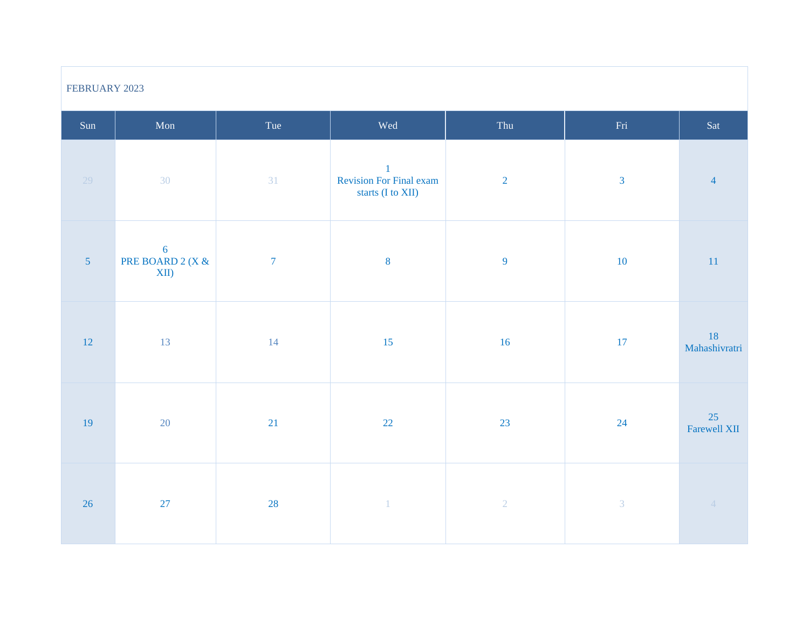| FEBRUARY 2023   |                                               |                |                                                              |                |                |                     |
|-----------------|-----------------------------------------------|----------------|--------------------------------------------------------------|----------------|----------------|---------------------|
| Sun             | Mon                                           | Tue            | Wed                                                          | Thu            | Fri            | Sat                 |
| 29              | 30                                            | 31             | $\mathbf{1}$<br>Revision For Final exam<br>starts (I to XII) | $\overline{2}$ | $\overline{3}$ | $\overline{4}$      |
| $5\overline{)}$ | $\overline{6}$<br>PRE BOARD 2 (X $\&$<br>XII) | $\overline{7}$ | $\bf 8$                                                      | $\overline{9}$ | $10\,$         | $11\,$              |
| 12              | 13                                            | 14             | 15                                                           | 16             | 17             | 18<br>Mahashivratri |
| 19              | $20\,$                                        | 21             | $22\,$                                                       | 23             | 24             | 25<br>Farewell XII  |
| 26              | 27                                            | 28             | $\lceil 1 \rceil$                                            | $\overline{2}$ | $\overline{3}$ | $\overline{4}$      |

г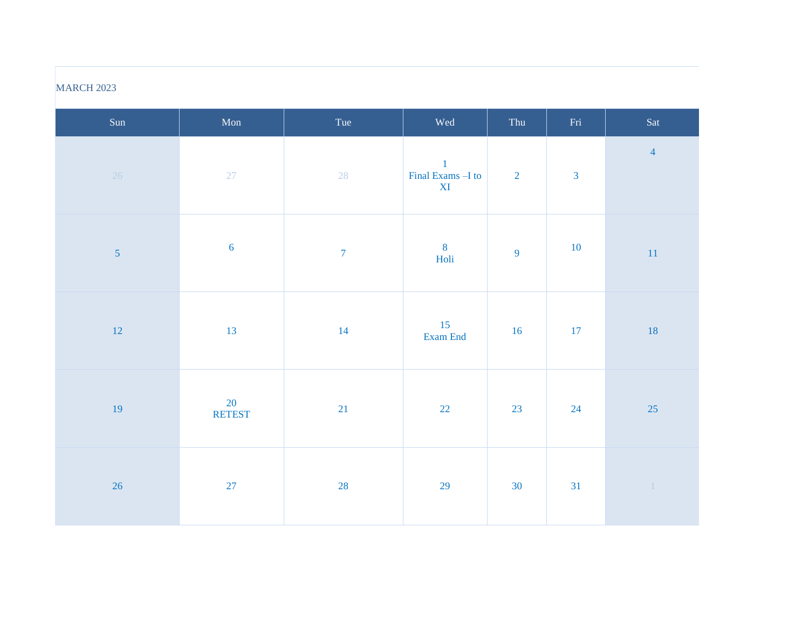## **MARCH 2023**

| Sun            | Mon                 | Tue              | Wed                                                           | Thu            | $\operatorname{Fri}$ | Sat            |
|----------------|---------------------|------------------|---------------------------------------------------------------|----------------|----------------------|----------------|
| 26             | $27\,$              | $28\,$           | $\,1\,$<br>Final Exams $-\mathbf{I}$ to<br>$\bold{X}\bold{I}$ | $\overline{2}$ | $\overline{3}$       | $\overline{4}$ |
| $\overline{5}$ | $\boldsymbol{6}$    | $\boldsymbol{7}$ | $\frac{8}{\text{Holi}}$                                       | 9              | $10\,$               | $11\,$         |
| $12\,$         | 13                  | 14               | 15<br>Exam End                                                | 16             | $17\,$               | $18\,$         |
| 19             | $\frac{20}{RETEST}$ | 21               | 22                                                            | 23             | 24                   | 25             |
| $26\,$         | 27                  | 28               | 29                                                            | $30\,$         | 31                   | $\sim 1^\circ$ |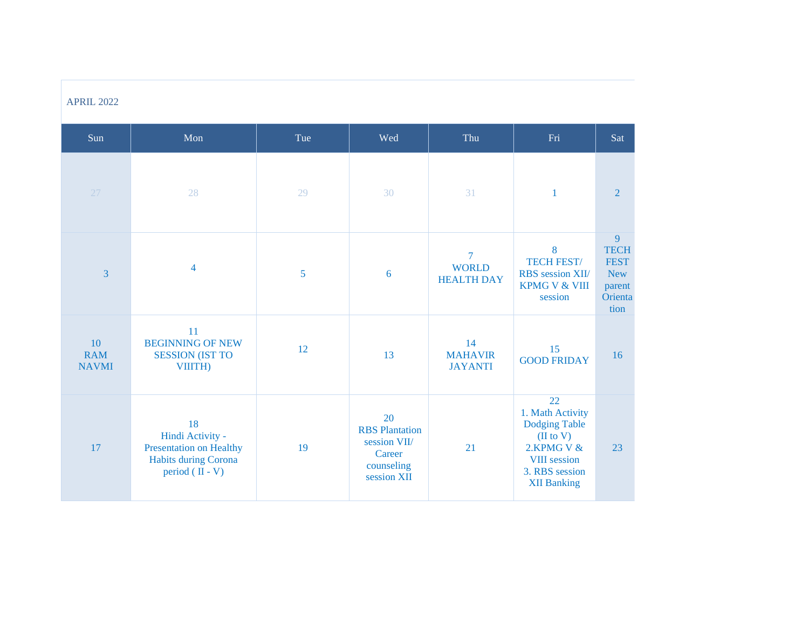| Sun                              | Mon                                                                                                   | Tue | Wed                                                                                | Thu                                         | Fri                                                                                                                                      | Sat                                                                        |
|----------------------------------|-------------------------------------------------------------------------------------------------------|-----|------------------------------------------------------------------------------------|---------------------------------------------|------------------------------------------------------------------------------------------------------------------------------------------|----------------------------------------------------------------------------|
| 27                               | 28                                                                                                    | 29  | 30                                                                                 | 31                                          | $\mathbf{1}$                                                                                                                             | $\overline{2}$                                                             |
| $\overline{3}$                   | $\overline{4}$                                                                                        | 5   | 6                                                                                  | $\tau$<br><b>WORLD</b><br><b>HEALTH DAY</b> | 8<br><b>TECH FEST/</b><br>RBS session XII/<br><b>KPMG V &amp; VIII</b><br>session                                                        | 9<br><b>TECH</b><br><b>FEST</b><br><b>New</b><br>parent<br>Orienta<br>tion |
| 10<br><b>RAM</b><br><b>NAVMI</b> | 11<br><b>BEGINNING OF NEW</b><br><b>SESSION (IST TO</b><br><b>VIIITH)</b>                             | 12  | 13                                                                                 | 14<br><b>MAHAVIR</b><br><b>JAYANTI</b>      | 15<br><b>GOOD FRIDAY</b>                                                                                                                 | 16                                                                         |
| 17                               | 18<br>Hindi Activity -<br><b>Presentation on Healthy</b><br>Habits during Corona<br>period $(II - V)$ | 19  | 20<br><b>RBS</b> Plantation<br>session VII/<br>Career<br>counseling<br>session XII | 21                                          | 22<br>1. Math Activity<br><b>Dodging Table</b><br>(II to V)<br>2.KPMG V &<br><b>VIII</b> session<br>3. RBS session<br><b>XII Banking</b> | 23                                                                         |

APRIL 2022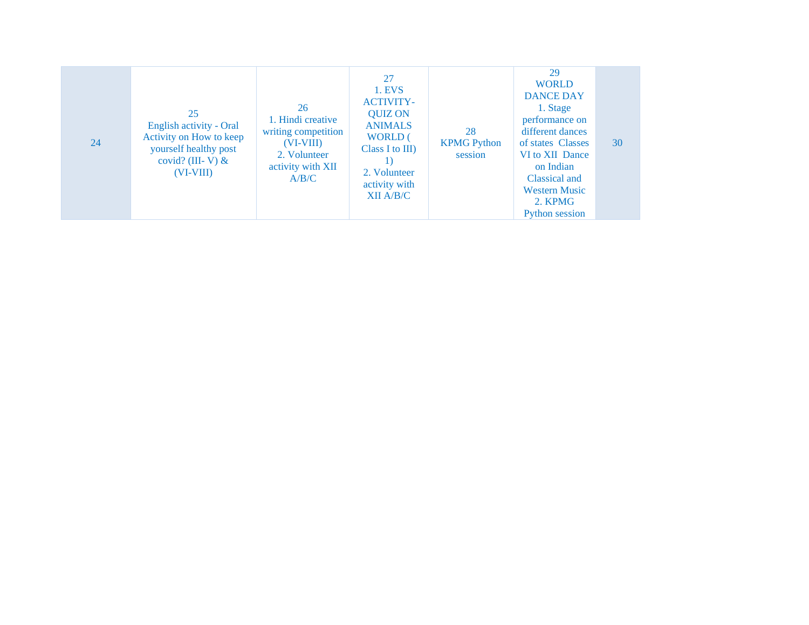| 24 | 25<br>English activity - Oral<br>Activity on How to keep<br>yourself healthy post<br>covid? (III-V) $&$<br>$(VI-VIII)$ | 26<br>1. Hindi creative<br>writing competition<br>$(VI-VIII)$<br>2. Volunteer<br>activity with XII<br>A/B/C | 27<br>1. EVS<br><b>ACTIVITY-</b><br><b>QUIZ ON</b><br><b>ANIMALS</b><br><b>WORLD</b> (<br>Class I to $III$ )<br>2. Volunteer<br>activity with<br>XII A/B/C | 28<br><b>KPMG Python</b><br>session | 29<br><b>WORLD</b><br><b>DANCE DAY</b><br>1. Stage<br>performance on<br>different dances<br>of states Classes<br>VI to XII Dance<br>on Indian<br>Classical and<br><b>Western Music</b><br>2. KPMG<br>Python session | 30 |  |
|----|------------------------------------------------------------------------------------------------------------------------|-------------------------------------------------------------------------------------------------------------|------------------------------------------------------------------------------------------------------------------------------------------------------------|-------------------------------------|---------------------------------------------------------------------------------------------------------------------------------------------------------------------------------------------------------------------|----|--|
|----|------------------------------------------------------------------------------------------------------------------------|-------------------------------------------------------------------------------------------------------------|------------------------------------------------------------------------------------------------------------------------------------------------------------|-------------------------------------|---------------------------------------------------------------------------------------------------------------------------------------------------------------------------------------------------------------------|----|--|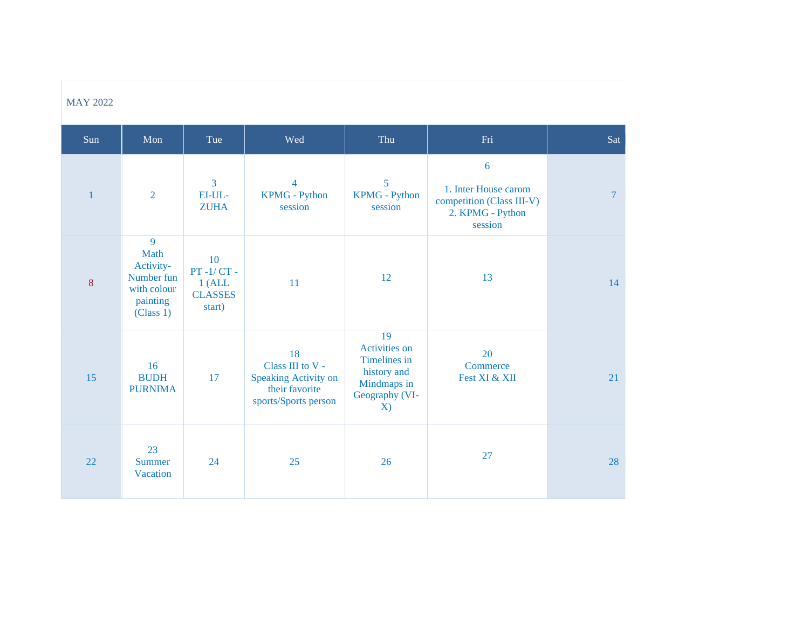| <b>MAY 2022</b> |                                                                              |                                                             |                                                                                          |                                                                                                            |                                                                                       |                |
|-----------------|------------------------------------------------------------------------------|-------------------------------------------------------------|------------------------------------------------------------------------------------------|------------------------------------------------------------------------------------------------------------|---------------------------------------------------------------------------------------|----------------|
| Sun             | Mon                                                                          | Tue                                                         | Wed                                                                                      | Thu                                                                                                        | Fri                                                                                   | Sat            |
| $\mathbf{1}$    | $\overline{2}$                                                               | $\overline{3}$<br>EI-UL-<br><b>ZUHA</b>                     | 4<br><b>KPMG</b> - Python<br>session                                                     | 5<br><b>KPMG</b> - Python<br>session                                                                       | 6<br>1. Inter House carom<br>competition (Class III-V)<br>2. KPMG - Python<br>session | $\overline{7}$ |
| $\bf{8}$        | 9<br>Math<br>Activity-<br>Number fun<br>with colour<br>painting<br>(Class 1) | 10<br>$PT - 1/CT -$<br>$1$ (ALL<br><b>CLASSES</b><br>start) | 11                                                                                       | 12                                                                                                         | 13                                                                                    | 14             |
| 15              | 16<br><b>BUDH</b><br><b>PURNIMA</b>                                          | 17                                                          | 18<br>Class III to V -<br>Speaking Activity on<br>their favorite<br>sports/Sports person | 19<br><b>Activities</b> on<br>Timelines in<br>history and<br>Mindmaps in<br>Geography (VI-<br>$\mathbf{X}$ | 20<br>Commerce<br>Fest XI & XII                                                       | 21             |
| 22              | 23<br><b>Summer</b><br>Vacation                                              | 24                                                          | 25                                                                                       | 26                                                                                                         | 27                                                                                    | 28             |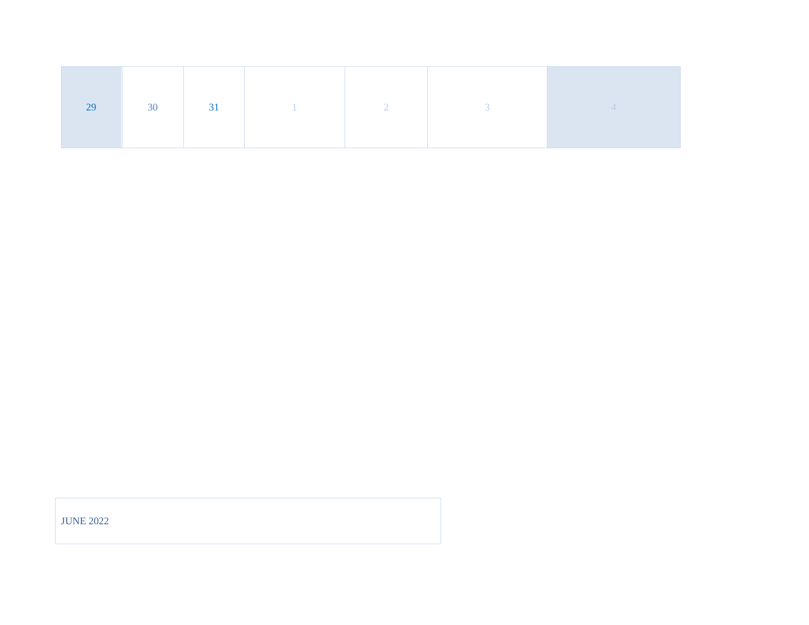|--|

JUNE 2022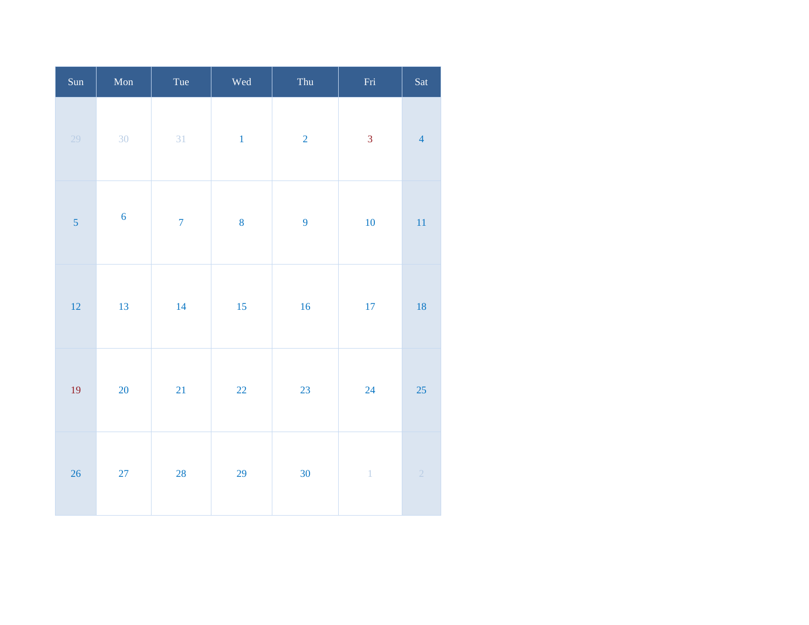| Sun                     | Mon              | Tue            | Wed       | Thu            | $\operatorname{Fri}$ | Sat            |
|-------------------------|------------------|----------------|-----------|----------------|----------------------|----------------|
| 29                      | 30               | 31             | $\,1\,$   | $\overline{2}$ | $\overline{3}$       | $\overline{4}$ |
| $\overline{\mathbf{5}}$ | $\boldsymbol{6}$ | $\overline{7}$ | 8         | $\overline{9}$ | $10\,$               | 11             |
| $12\phantom{.0}$        | 13               | 14             | $15\,$    | 16             | $17\,$               | $18\,$         |
| 19                      | 20               | 21             | <b>22</b> | 23             | 24                   | $25\,$         |
| 26                      | $27\,$           | <b>28</b>      | 29        | 30             | $1^{\circ}$          | $\overline{2}$ |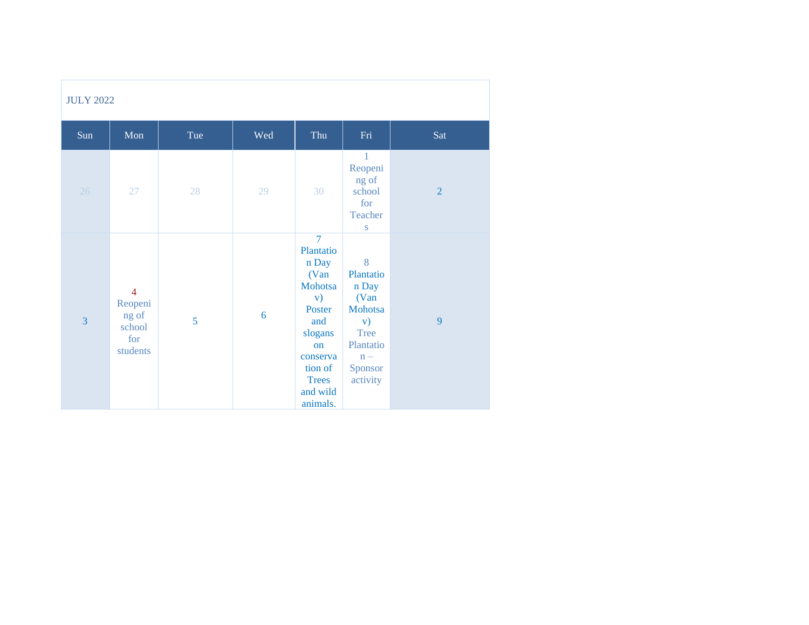| <b>JULY 2022</b> |                                                                 |     |     |                                                                                                                                                                |                                                                                                              |                |  |  |
|------------------|-----------------------------------------------------------------|-----|-----|----------------------------------------------------------------------------------------------------------------------------------------------------------------|--------------------------------------------------------------------------------------------------------------|----------------|--|--|
| Sun              | Mon                                                             | Tue | Wed | Thu                                                                                                                                                            | Fri                                                                                                          | Sat            |  |  |
| 26               | 27                                                              | 28  | 29  | 30                                                                                                                                                             | 1<br>Reopeni<br>ng of<br>school<br>for<br>Teacher<br>S                                                       | $\overline{2}$ |  |  |
| $\overline{3}$   | $\overline{4}$<br>Reopeni<br>ng of<br>school<br>for<br>students | 5   | 6   | $\overline{7}$<br>Plantatio<br>n Day<br>(Van<br>Mohotsa<br>V)<br>Poster<br>and<br>slogans<br>on<br>conserva<br>tion of<br><b>Trees</b><br>and wild<br>animals. | 8<br>Plantatio<br>n Day<br>(Van<br>Mohotsa<br>V)<br><b>Tree</b><br>Plantatio<br>$n -$<br>Sponsor<br>activity | 9              |  |  |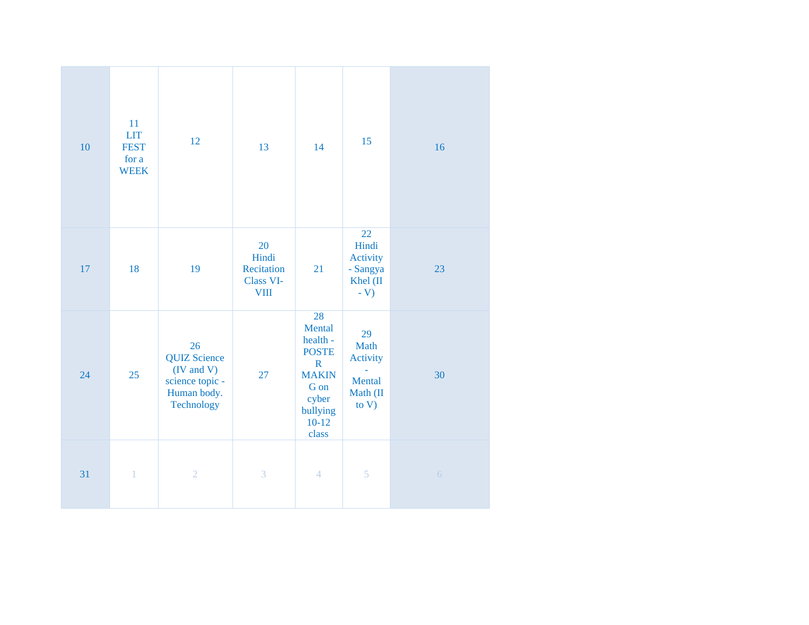| 10 | 11<br><b>LIT</b><br><b>FEST</b><br>for a<br><b>WEEK</b> | 12                                                                                      | 13                                                    | 14                                                                                                                       | 15                                                        | 16       |
|----|---------------------------------------------------------|-----------------------------------------------------------------------------------------|-------------------------------------------------------|--------------------------------------------------------------------------------------------------------------------------|-----------------------------------------------------------|----------|
| 17 | 18                                                      | 19                                                                                      | 20<br>Hindi<br>Recitation<br>Class VI-<br><b>VIII</b> | 21                                                                                                                       | 22<br>Hindi<br>Activity<br>- Sangya<br>Khel (II<br>$-V$ ) | 23       |
| 24 | 25                                                      | 26<br><b>QUIZ Science</b><br>(IV and V)<br>science topic -<br>Human body.<br>Technology | 27                                                    | 28<br>Mental<br>health -<br><b>POSTE</b><br>$\mathbf R$<br><b>MAKIN</b><br>G on<br>cyber<br>bullying<br>$10-12$<br>class | 29<br>Math<br>Activity<br>Mental<br>Math (II<br>to $V$ )  | 30       |
| 31 | $\mathbf{1}$                                            | $\overline{2}$                                                                          | 3                                                     | $\overline{4}$                                                                                                           | 5                                                         | $\sigma$ |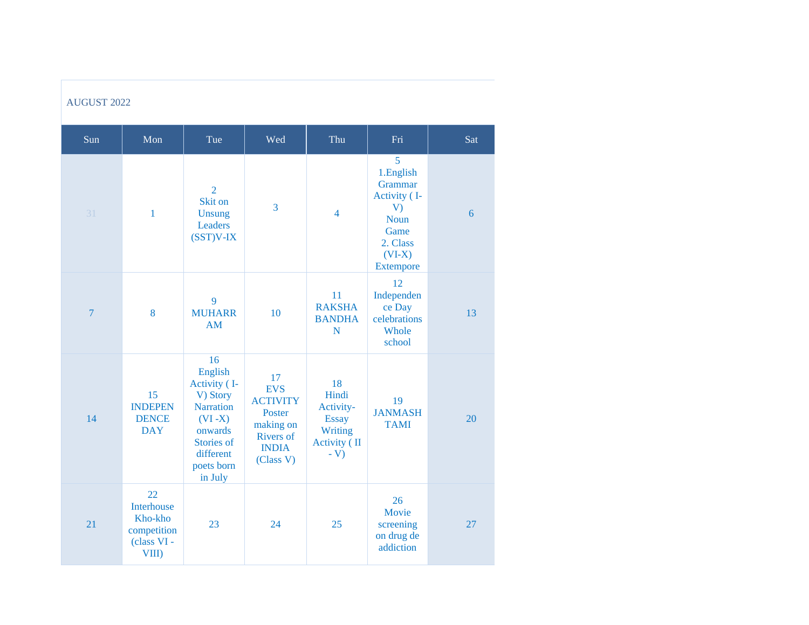| AUGUST 2022    |                                                                    |                                                                                                                                            |                                                                                                      |                                                                                             |                                                                                                                    |     |
|----------------|--------------------------------------------------------------------|--------------------------------------------------------------------------------------------------------------------------------------------|------------------------------------------------------------------------------------------------------|---------------------------------------------------------------------------------------------|--------------------------------------------------------------------------------------------------------------------|-----|
| Sun            | Mon                                                                | Tue                                                                                                                                        | Wed                                                                                                  | Thu                                                                                         | Fri                                                                                                                | Sat |
| 31             | $\mathbf{1}$                                                       | $\overline{2}$<br>Skit on<br>Unsung<br>Leaders<br>$(SST)V$ - $IX$                                                                          | $\overline{3}$                                                                                       | $\overline{4}$                                                                              | 5<br>1.English<br>Grammar<br>Activity (I-<br>V)<br><b>Noun</b><br>Game<br>2. Class<br>$(VI-X)$<br><b>Extempore</b> | 6   |
| $\overline{7}$ | 8                                                                  | 9<br><b>MUHARR</b><br><b>AM</b>                                                                                                            | 10                                                                                                   | 11<br><b>RAKSHA</b><br><b>BANDHA</b><br>N                                                   | 12<br>Independen<br>ce Day<br>celebrations<br>Whole<br>school                                                      | 13  |
| 14             | 15<br><b>INDEPEN</b><br><b>DENCE</b><br><b>DAY</b>                 | 16<br>English<br>Activity (I-<br>V) Story<br><b>Narration</b><br>$(VI - X)$<br>onwards<br>Stories of<br>different<br>poets born<br>in July | 17<br><b>EVS</b><br><b>ACTIVITY</b><br>Poster<br>making on<br>Rivers of<br><b>INDIA</b><br>(Class V) | 18<br>Hindi<br>Activity-<br><b>Essay</b><br><b>Writing</b><br><b>Activity</b> (II<br>$-V$ ) | 19<br><b>JANMASH</b><br><b>TAMI</b>                                                                                | 20  |
| 21             | 22<br>Interhouse<br>Kho-kho<br>competition<br>(class VI -<br>VIII) | 23                                                                                                                                         | 24                                                                                                   | 25                                                                                          | 26<br>Movie<br>screening<br>on drug de<br>addiction                                                                | 27  |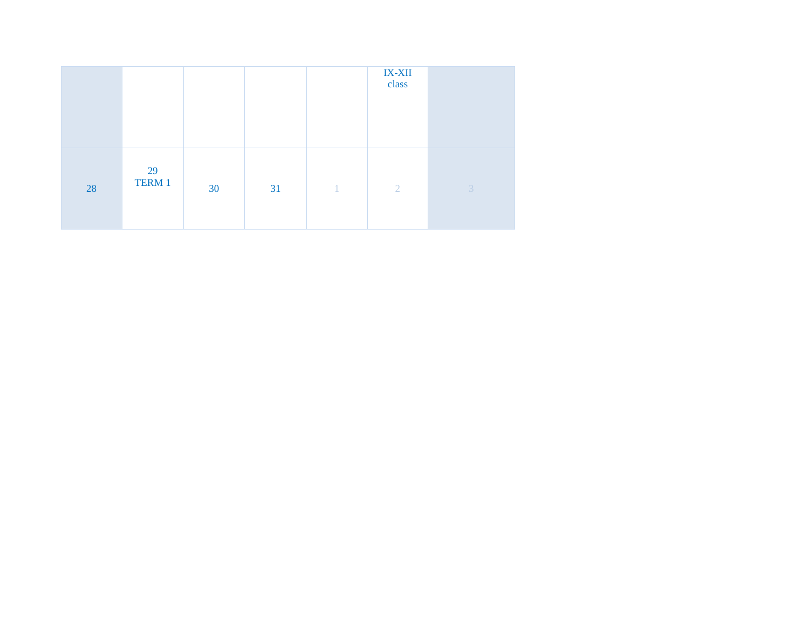|    |              |    |    | IX-XII<br>class |                |
|----|--------------|----|----|-----------------|----------------|
| 28 | 29<br>TERM 1 | 30 | 31 | $\overline{2}$  | $\overline{3}$ |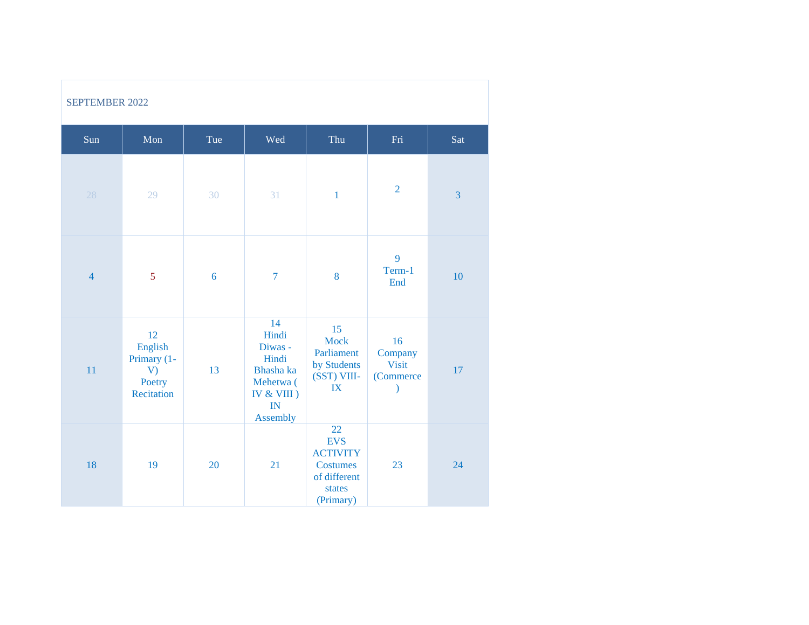| <b>SEPTEMBER 2022</b> |                                                            |     |                                                                                                  |                                                                                               |                                            |                |  |
|-----------------------|------------------------------------------------------------|-----|--------------------------------------------------------------------------------------------------|-----------------------------------------------------------------------------------------------|--------------------------------------------|----------------|--|
| Sun                   | Mon                                                        | Tue | Wed                                                                                              | Thu                                                                                           | Fri                                        | Sat            |  |
| 28                    | 29                                                         | 30  | 31                                                                                               | $\mathbf{1}$                                                                                  | $\overline{2}$                             | $\overline{3}$ |  |
| $\overline{4}$        | 5                                                          | 6   | $\overline{7}$                                                                                   | 8                                                                                             | 9<br>Term-1<br>End                         | 10             |  |
| 11                    | 12<br>English<br>Primary (1-<br>V)<br>Poetry<br>Recitation | 13  | 14<br>Hindi<br>Diwas -<br>Hindi<br>Bhasha ka<br>Mehetwa (<br>IV & VIII)<br>IN<br><b>Assembly</b> | 15<br><b>Mock</b><br>Parliament<br>by Students<br>(SST) VIII-<br>IX                           | 16<br>Company<br><b>Visit</b><br>(Commerce | 17             |  |
| 18                    | 19                                                         | 20  | 21                                                                                               | 22<br><b>EVS</b><br><b>ACTIVITY</b><br><b>Costumes</b><br>of different<br>states<br>(Primary) | 23                                         | 24             |  |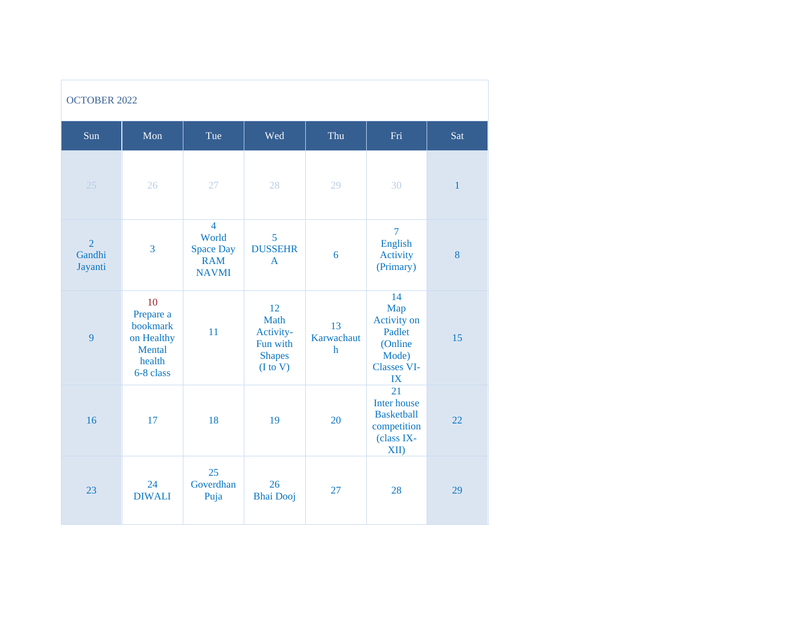| <b>OCTOBER 2022</b>                 |                                                                            |                                                                           |                                                                  |                                  |                                                                                           |              |  |
|-------------------------------------|----------------------------------------------------------------------------|---------------------------------------------------------------------------|------------------------------------------------------------------|----------------------------------|-------------------------------------------------------------------------------------------|--------------|--|
| Sun                                 | Mon                                                                        | Tue                                                                       | Wed                                                              | Thu                              | Fri                                                                                       | Sat          |  |
| 25                                  | 26                                                                         | 27                                                                        | 28                                                               | 29                               | 30                                                                                        | $\mathbf{1}$ |  |
| $\overline{2}$<br>Gandhi<br>Jayanti | 3                                                                          | $\overline{4}$<br>World<br><b>Space Day</b><br><b>RAM</b><br><b>NAVMI</b> | 5<br><b>DUSSEHR</b><br>$\overline{A}$                            | 6                                | $\overline{7}$<br>English<br><b>Activity</b><br>(Primary)                                 | 8            |  |
| 9                                   | 10<br>Prepare a<br>bookmark<br>on Healthy<br>Mental<br>health<br>6-8 class | 11                                                                        | 12<br>Math<br>Activity-<br>Fun with<br><b>Shapes</b><br>(I to V) | 13<br>Karwachaut<br>$\mathbf{h}$ | 14<br>Map<br><b>Activity on</b><br>Padlet<br>(Online<br>Mode)<br><b>Classes VI-</b><br>IX | 15           |  |
| 16                                  | 17                                                                         | 18                                                                        | 19                                                               | 20                               | 21<br><b>Inter house</b><br><b>Basketball</b><br>competition<br>(class IX-<br>XII         | 22           |  |
| 23                                  | 24<br><b>DIWALI</b>                                                        | 25<br>Goverdhan<br>Puja                                                   | 26<br><b>Bhai</b> Dooj                                           | 27                               | 28                                                                                        | 29           |  |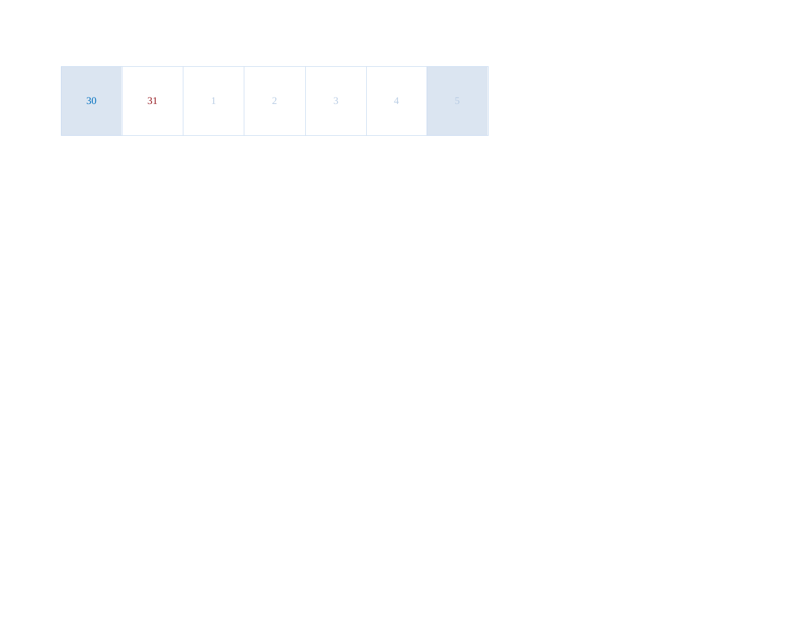| 30 | $31 \quad   \quad 1$ |  | $\overline{2}$ |  |  |  |
|----|----------------------|--|----------------|--|--|--|
|----|----------------------|--|----------------|--|--|--|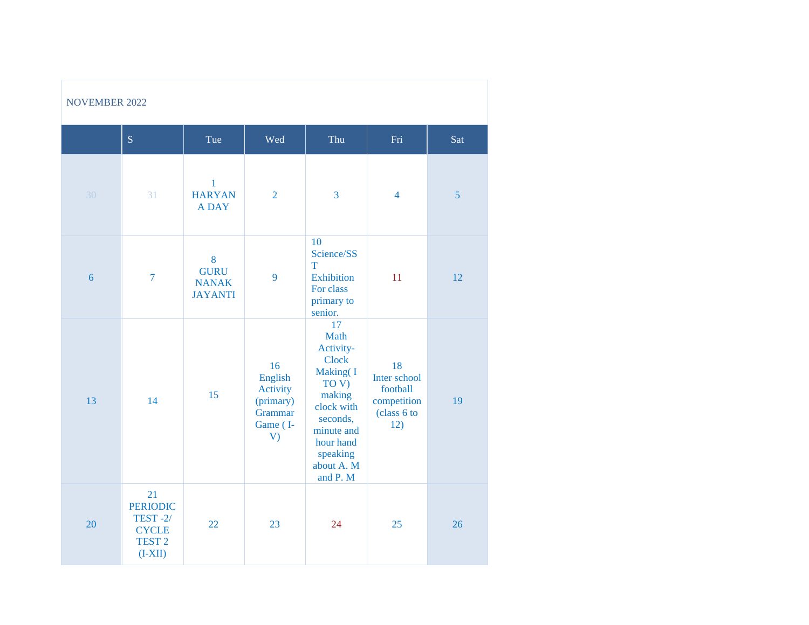| <b>NOVEMBER 2022</b> |                                                                                   |                                                    |                                                                            |                                                                                                                                                                    |                                                                     |     |  |
|----------------------|-----------------------------------------------------------------------------------|----------------------------------------------------|----------------------------------------------------------------------------|--------------------------------------------------------------------------------------------------------------------------------------------------------------------|---------------------------------------------------------------------|-----|--|
|                      | $\overline{S}$                                                                    | Tue                                                | Wed                                                                        | Thu                                                                                                                                                                | Fri                                                                 | Sat |  |
| 30                   | 31                                                                                | $\mathbf{1}$<br><b>HARYAN</b><br><b>ADAY</b>       | $\overline{2}$                                                             | $\overline{3}$                                                                                                                                                     | $\overline{4}$                                                      | 5   |  |
| $\boldsymbol{6}$     | $\overline{7}$                                                                    | 8<br><b>GURU</b><br><b>NANAK</b><br><b>JAYANTI</b> | 9                                                                          | 10<br>Science/SS<br>T<br><b>Exhibition</b><br>For class<br>primary to<br>senior.                                                                                   | 11                                                                  | 12  |  |
| 13                   | 14                                                                                | 15                                                 | 16<br>English<br>Activity<br>(primary)<br><b>Grammar</b><br>Game (I-<br>V) | 17<br>Math<br>Activity-<br>Clock<br><b>Making</b> (I<br>TO V)<br>making<br>clock with<br>seconds,<br>minute and<br>hour hand<br>speaking<br>about A. M<br>and P. M | 18<br>Inter school<br>football<br>competition<br>(class 6 to<br>12) | 19  |  |
| 20                   | 21<br><b>PERIODIC</b><br>TEST $-2/$<br><b>CYCLE</b><br><b>TEST 2</b><br>$(I-XII)$ | 22                                                 | 23                                                                         | 24                                                                                                                                                                 | 25                                                                  | 26  |  |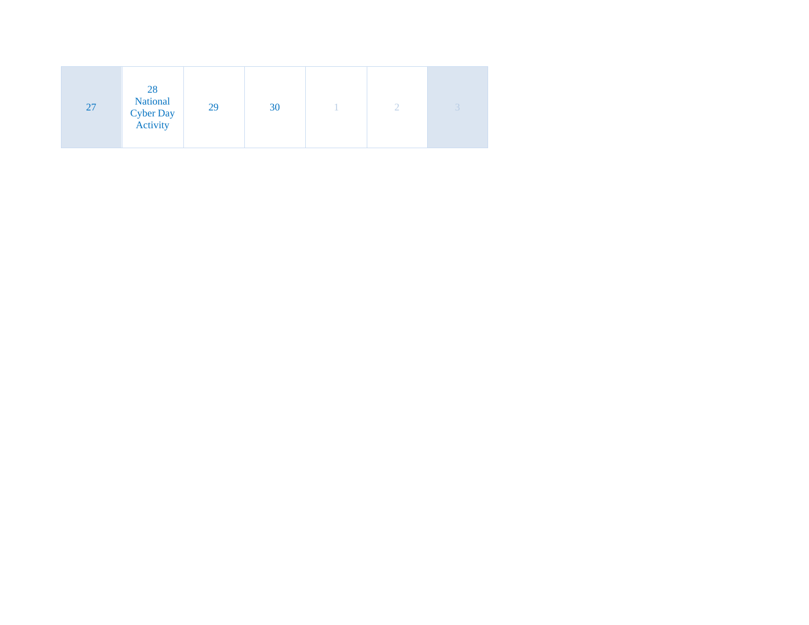| 28<br>National<br>Cyber Day<br>Activity<br>27<br>29 | 30 |  |  |  |
|-----------------------------------------------------|----|--|--|--|
|-----------------------------------------------------|----|--|--|--|